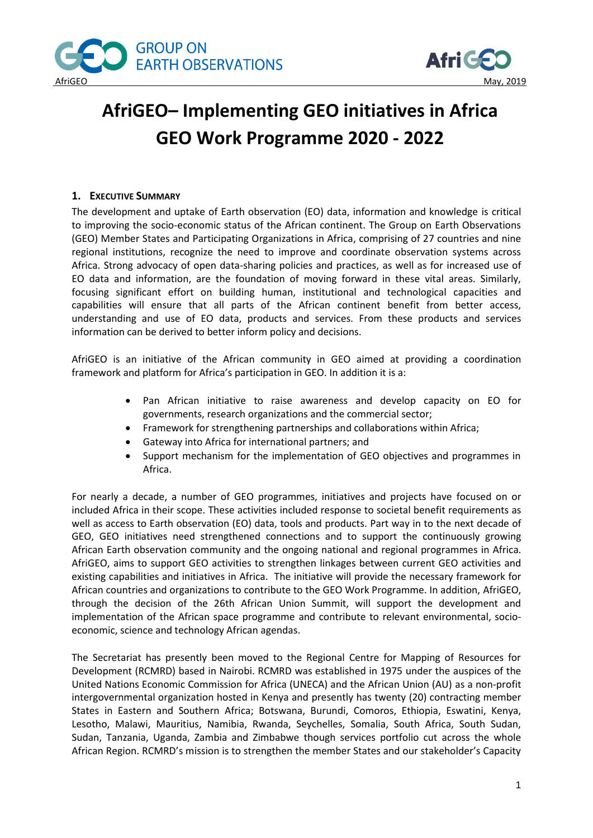



# **AfriGEO– Implementing GEO initiatives in Africa GEO Work Programme 2020 - 2022**

## **1. EXECUTIVE SUMMARY**

The development and uptake of Earth observation (EO) data, information and knowledge is critical to improving the socio-economic status of the African continent. The Group on Earth Observations (GEO) Member States and Participating Organizations in Africa, comprising of 27 countries and nine regional institutions, recognize the need to improve and coordinate observation systems across Africa. Strong advocacy of open data-sharing policies and practices, as well as for increased use of EO data and information, are the foundation of moving forward in these vital areas. Similarly, focusing significant effort on building human, institutional and technological capacities and capabilities will ensure that all parts of the African continent benefit from better access, understanding and use of EO data, products and services. From these products and services information can be derived to better inform policy and decisions.

AfriGEO is an initiative of the African community in GEO aimed at providing a coordination framework and platform for Africa's participation in GEO. In addition it is a:

- Pan African initiative to raise awareness and develop capacity on EO for governments, research organizations and the commercial sector;
- Framework for strengthening partnerships and collaborations within Africa;
- Gateway into Africa for international partners; and
- Support mechanism for the implementation of GEO objectives and programmes in Africa.

For nearly a decade, a number of GEO programmes, initiatives and projects have focused on or included Africa in their scope. These activities included response to societal benefit requirements as well as access to Earth observation (EO) data, tools and products. Part way in to the next decade of GEO, GEO initiatives need strengthened connections and to support the continuously growing African Earth observation community and the ongoing national and regional programmes in Africa. AfriGEO, aims to support GEO activities to strengthen linkages between current GEO activities and existing capabilities and initiatives in Africa. The initiative will provide the necessary framework for African countries and organizations to contribute to the GEO Work Programme. In addition, AfriGEO, through the decision of the 26th African Union Summit, will support the development and implementation of the African space programme and contribute to relevant environmental, socioeconomic, science and technology African agendas.

The Secretariat has presently been moved to the Regional Centre for Mapping of Resources for Development (RCMRD) based in Nairobi. RCMRD was established in 1975 under the auspices of the United Nations Economic Commission for Africa (UNECA) and the African Union (AU) as a non-profit intergovernmental organization hosted in Kenya and presently has twenty (20) contracting member States in Eastern and Southern Africa; Botswana, Burundi, Comoros, Ethiopia, Eswatini, Kenya, Lesotho, Malawi, Mauritius, Namibia, Rwanda, Seychelles, Somalia, South Africa, South Sudan, Sudan, Tanzania, Uganda, Zambia and Zimbabwe though services portfolio cut across the whole African Region. RCMRD's mission is to strengthen the member States and our stakeholder's Capacity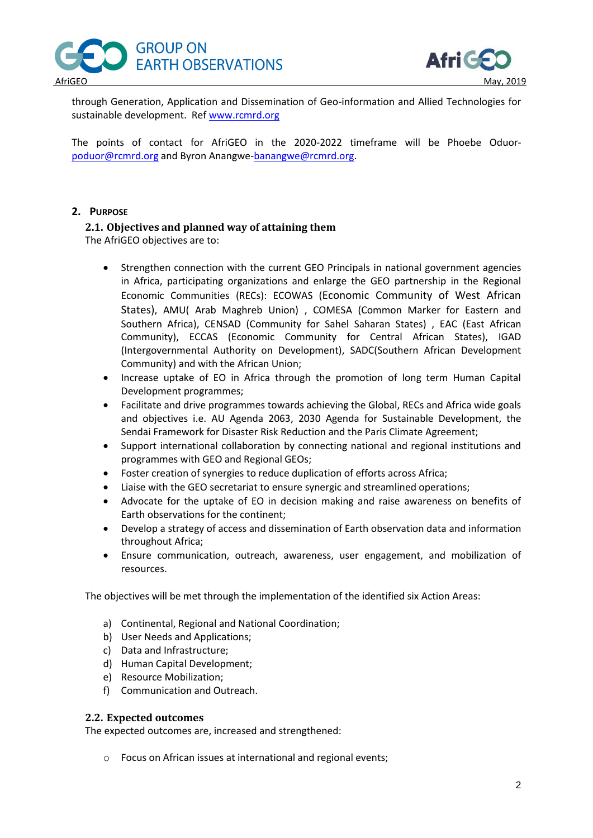



through Generation, Application and Dissemination of Geo-information and Allied Technologies for sustainable development. Re[f www.rcmrd.org](http://www.rcmrd.org/)

The points of contact for AfriGEO in the 2020-2022 timeframe will be Phoebe Oduor[poduor@rcmrd.org](mailto:poduor@rcmrd.org) and Byron Anangwe[-banangwe@rcmrd.org.](mailto:banangwe@rcmrd.org)

## **2. PURPOSE**

# **2.1. Objectives and planned way of attaining them**

The AfriGEO objectives are to:

- Strengthen connection with the current GEO Principals in national government agencies in Africa, participating organizations and enlarge the GEO partnership in the Regional Economic Communities (RECs): ECOWAS (Economic Community of West African States), AMU( Arab Maghreb Union) , COMESA (Common Marker for Eastern and Southern Africa), CENSAD (Community for Sahel Saharan States) , EAC (East African Community), ECCAS (Economic Community for Central African States), IGAD (Intergovernmental Authority on Development), SADC(Southern African Development Community) and with the African Union;
- Increase uptake of EO in Africa through the promotion of long term Human Capital Development programmes;
- Facilitate and drive programmes towards achieving the Global, RECs and Africa wide goals and objectives i.e. AU Agenda 2063, 2030 Agenda for Sustainable Development, the Sendai Framework for Disaster Risk Reduction and the Paris Climate Agreement;
- Support international collaboration by connecting national and regional institutions and programmes with GEO and Regional GEOs;
- Foster creation of synergies to reduce duplication of efforts across Africa;
- Liaise with the GEO secretariat to ensure synergic and streamlined operations;
- Advocate for the uptake of EO in decision making and raise awareness on benefits of Earth observations for the continent;
- Develop a strategy of access and dissemination of Earth observation data and information throughout Africa;
- Ensure communication, outreach, awareness, user engagement, and mobilization of resources.

The objectives will be met through the implementation of the identified six Action Areas:

- a) Continental, Regional and National Coordination;
- b) User Needs and Applications;
- c) Data and Infrastructure;
- d) Human Capital Development;
- e) Resource Mobilization;
- f) Communication and Outreach.

#### **2.2. Expected outcomes**

The expected outcomes are, increased and strengthened:

o Focus on African issues at international and regional events;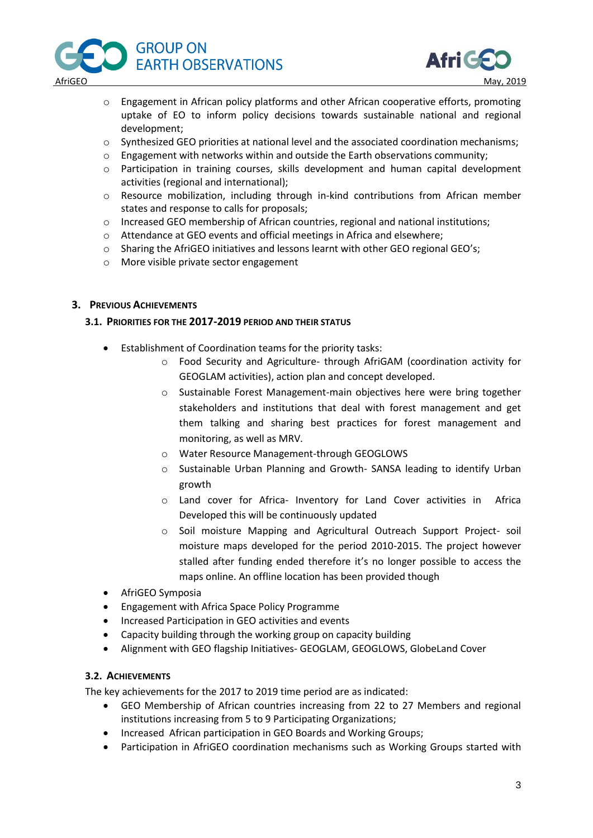



- o Engagement in African policy platforms and other African cooperative efforts, promoting uptake of EO to inform policy decisions towards sustainable national and regional development;
- o Synthesized GEO priorities at national level and the associated coordination mechanisms;
- o Engagement with networks within and outside the Earth observations community;
- o Participation in training courses, skills development and human capital development activities (regional and international);
- o Resource mobilization, including through in-kind contributions from African member states and response to calls for proposals;
- o Increased GEO membership of African countries, regional and national institutions;
- o Attendance at GEO events and official meetings in Africa and elsewhere;
- o Sharing the AfriGEO initiatives and lessons learnt with other GEO regional GEO's;
- o More visible private sector engagement

#### **3. PREVIOUS ACHIEVEMENTS**

#### **3.1. PRIORITIES FOR THE 2017-2019 PERIOD AND THEIR STATUS**

- Establishment of Coordination teams for the priority tasks:
	- o Food Security and Agriculture- through AfriGAM (coordination activity for GEOGLAM activities), action plan and concept developed.
	- o Sustainable Forest Management-main objectives here were bring together stakeholders and institutions that deal with forest management and get them talking and sharing best practices for forest management and monitoring, as well as MRV.
	- o Water Resource Management-through GEOGLOWS
	- o Sustainable Urban Planning and Growth- SANSA leading to identify Urban growth
	- o Land cover for Africa- Inventory for Land Cover activities in Africa Developed this will be continuously updated
	- o Soil moisture Mapping and Agricultural Outreach Support Project- soil moisture maps developed for the period 2010-2015. The project however stalled after funding ended therefore it's no longer possible to access the maps online. An offline location has been provided though
- AfriGEO Symposia
- Engagement with Africa Space Policy Programme
- Increased Participation in GEO activities and events
- Capacity building through the working group on capacity building
- Alignment with GEO flagship Initiatives- GEOGLAM, GEOGLOWS, GlobeLand Cover

#### **3.2. ACHIEVEMENTS**

The key achievements for the 2017 to 2019 time period are as indicated:

- GEO Membership of African countries increasing from 22 to 27 Members and regional institutions increasing from 5 to 9 Participating Organizations;
- Increased African participation in GEO Boards and Working Groups;
- Participation in AfriGEO coordination mechanisms such as Working Groups started with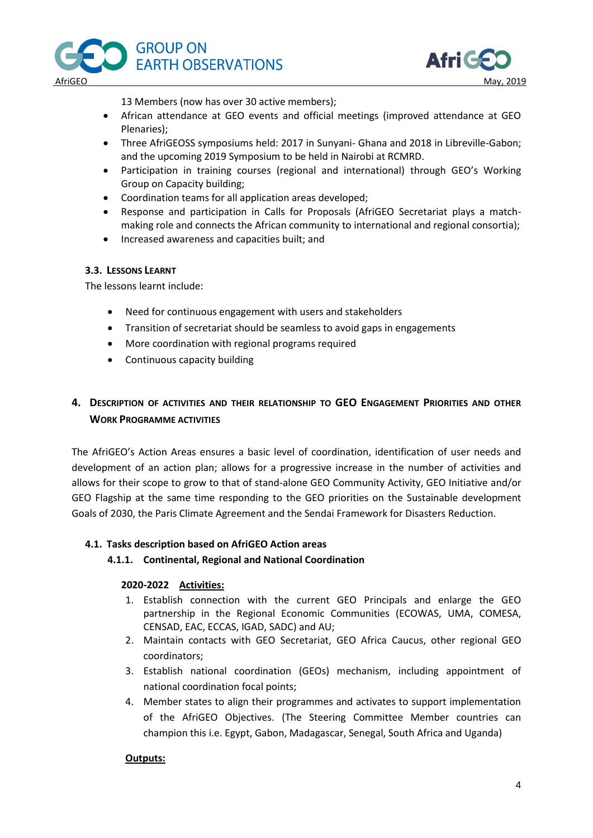



13 Members (now has over 30 active members);

- African attendance at GEO events and official meetings (improved attendance at GEO Plenaries);
- Three AfriGEOSS symposiums held: 2017 in Sunyani- Ghana and 2018 in Libreville-Gabon; and the upcoming 2019 Symposium to be held in Nairobi at RCMRD.
- Participation in training courses (regional and international) through GEO's Working Group on Capacity building;
- Coordination teams for all application areas developed;
- Response and participation in Calls for Proposals (AfriGEO Secretariat plays a matchmaking role and connects the African community to international and regional consortia);
- Increased awareness and capacities built; and

## **3.3. LESSONS LEARNT**

The lessons learnt include:

- Need for continuous engagement with users and stakeholders
- Transition of secretariat should be seamless to avoid gaps in engagements
- More coordination with regional programs required
- Continuous capacity building

# **4. DESCRIPTION OF ACTIVITIES AND THEIR RELATIONSHIP TO GEO ENGAGEMENT PRIORITIES AND OTHER WORK PROGRAMME ACTIVITIES**

The AfriGEO's Action Areas ensures a basic level of coordination, identification of user needs and development of an action plan; allows for a progressive increase in the number of activities and allows for their scope to grow to that of stand-alone GEO Community Activity, GEO Initiative and/or GEO Flagship at the same time responding to the GEO priorities on the Sustainable development Goals of 2030, the Paris Climate Agreement and the Sendai Framework for Disasters Reduction.

#### **4.1. Tasks description based on AfriGEO Action areas**

#### **4.1.1. Continental, Regional and National Coordination**

#### **2020-2022 Activities:**

- 1. Establish connection with the current GEO Principals and enlarge the GEO partnership in the Regional Economic Communities (ECOWAS, UMA, COMESA, CENSAD, EAC, ECCAS, IGAD, SADC) and AU;
- 2. Maintain contacts with GEO Secretariat, GEO Africa Caucus, other regional GEO coordinators;
- 3. Establish national coordination (GEOs) mechanism, including appointment of national coordination focal points;
- 4. Member states to align their programmes and activates to support implementation of the AfriGEO Objectives. (The Steering Committee Member countries can champion this i.e. Egypt, Gabon, Madagascar, Senegal, South Africa and Uganda)

#### **Outputs:**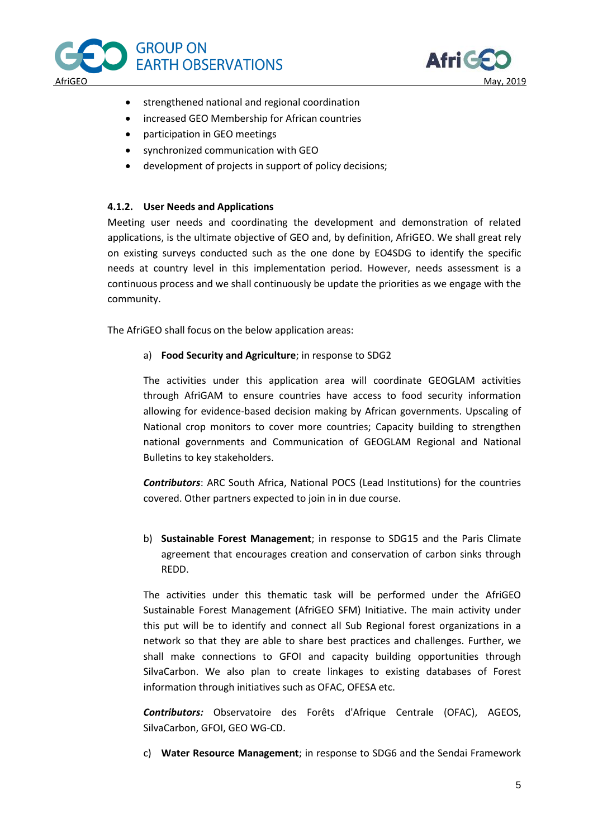



- strengthened national and regional coordination
- increased GEO Membership for African countries
- participation in GEO meetings
- synchronized communication with GEO
- development of projects in support of policy decisions;

#### **4.1.2. User Needs and Applications**

Meeting user needs and coordinating the development and demonstration of related applications, is the ultimate objective of GEO and, by definition, AfriGEO. We shall great rely on existing surveys conducted such as the one done by EO4SDG to identify the specific needs at country level in this implementation period. However, needs assessment is a continuous process and we shall continuously be update the priorities as we engage with the community.

The AfriGEO shall focus on the below application areas:

a) **Food Security and Agriculture**; in response to SDG2

The activities under this application area will coordinate GEOGLAM activities through AfriGAM to ensure countries have access to food security information allowing for evidence-based decision making by African governments. Upscaling of National crop monitors to cover more countries; Capacity building to strengthen national governments and Communication of GEOGLAM Regional and National Bulletins to key stakeholders.

*Contributors*: ARC South Africa, National POCS (Lead Institutions) for the countries covered. Other partners expected to join in in due course.

b) **Sustainable Forest Management**; in response to SDG15 and the Paris Climate agreement that encourages creation and conservation of carbon sinks through REDD.

The activities under this thematic task will be performed under the AfriGEO Sustainable Forest Management (AfriGEO SFM) Initiative. The main activity under this put will be to identify and connect all Sub Regional forest organizations in a network so that they are able to share best practices and challenges. Further, we shall make connections to GFOI and capacity building opportunities through SilvaCarbon. We also plan to create linkages to existing databases of Forest information through initiatives such as OFAC, OFESA etc.

*Contributors:* Observatoire des Forêts d'Afrique Centrale (OFAC), AGEOS, SilvaCarbon, GFOI, GEO WG-CD.

c) **Water Resource Management**; in response to SDG6 and the Sendai Framework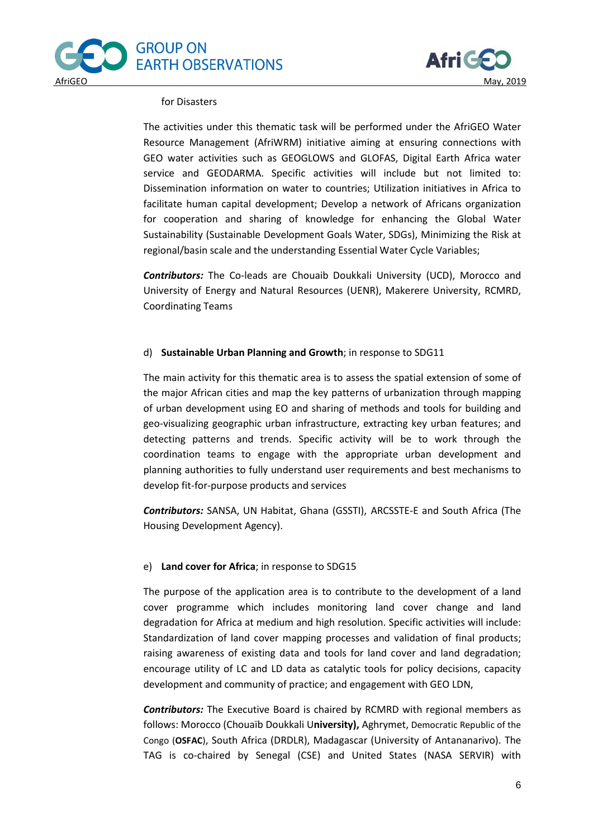



#### for Disasters

The activities under this thematic task will be performed under the AfriGEO Water Resource Management (AfriWRM) initiative aiming at ensuring connections with GEO water activities such as GEOGLOWS and GLOFAS, Digital Earth Africa water service and GEODARMA. Specific activities will include but not limited to: Dissemination information on water to countries; Utilization initiatives in Africa to facilitate human capital development; Develop a network of Africans organization for cooperation and sharing of knowledge for enhancing the Global Water Sustainability (Sustainable Development Goals Water, SDGs), Minimizing the Risk at regional/basin scale and the understanding Essential Water Cycle Variables;

*Contributors:* The Co-leads are Chouaib Doukkali University (UCD), Morocco and University of Energy and Natural Resources (UENR), Makerere University, RCMRD, Coordinating Teams

#### d) **Sustainable Urban Planning and Growth**; in response to SDG11

The main activity for this thematic area is to assess the spatial extension of some of the major African cities and map the key patterns of urbanization through mapping of urban development using EO and sharing of methods and tools for building and geo-visualizing geographic urban infrastructure, extracting key urban features; and detecting patterns and trends. Specific activity will be to work through the coordination teams to engage with the appropriate urban development and planning authorities to fully understand user requirements and best mechanisms to develop fit-for-purpose products and services

*Contributors:* SANSA, UN Habitat, Ghana (GSSTI), ARCSSTE-E and South Africa (The Housing Development Agency).

#### e) **Land cover for Africa**; in response to SDG15

The purpose of the application area is to contribute to the development of a land cover programme which includes monitoring land cover change and land degradation for Africa at medium and high resolution. Specific activities will include: Standardization of land cover mapping processes and validation of final products; raising awareness of existing data and tools for land cover and land degradation; encourage utility of LC and LD data as catalytic tools for policy decisions, capacity development and community of practice; and engagement with GEO LDN,

*Contributors:* The Executive Board is chaired by RCMRD with regional members as follows: Morocco (Chouaïb Doukkali U**niversity),** Aghrymet, Democratic Republic of the Congo (**OSFAC**), South Africa (DRDLR), Madagascar (University of Antananarivo). The TAG is co-chaired by Senegal (CSE) and United States (NASA SERVIR) with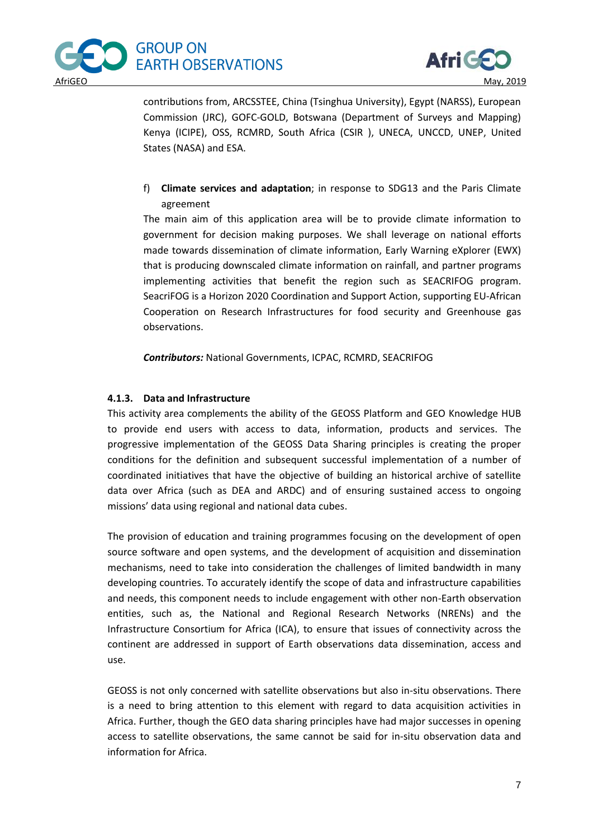



contributions from, ARCSSTEE, China (Tsinghua University), Egypt (NARSS), European Commission (JRC), GOFC-GOLD, Botswana (Department of Surveys and Mapping) Kenya (ICIPE), OSS, RCMRD, South Africa (CSIR ), UNECA, UNCCD, UNEP, United States (NASA) and ESA.

f) **Climate services and adaptation**; in response to SDG13 and the Paris Climate agreement

The main aim of this application area will be to provide climate information to government for decision making purposes. We shall leverage on national efforts made towards dissemination of climate information, Early Warning eXplorer (EWX) that is producing downscaled climate information on rainfall, and partner programs implementing activities that benefit the region such as SEACRIFOG program. SeacriFOG is a Horizon 2020 Coordination and Support Action, supporting EU-African Cooperation on Research Infrastructures for food security and Greenhouse gas observations.

*Contributors:* National Governments, ICPAC, RCMRD, SEACRIFOG

## **4.1.3. Data and Infrastructure**

This activity area complements the ability of the GEOSS Platform and GEO Knowledge HUB to provide end users with access to data, information, products and services. The progressive implementation of the GEOSS Data Sharing principles is creating the proper conditions for the definition and subsequent successful implementation of a number of coordinated initiatives that have the objective of building an historical archive of satellite data over Africa (such as DEA and ARDC) and of ensuring sustained access to ongoing missions' data using regional and national data cubes.

The provision of education and training programmes focusing on the development of open source software and open systems, and the development of acquisition and dissemination mechanisms, need to take into consideration the challenges of limited bandwidth in many developing countries. To accurately identify the scope of data and infrastructure capabilities and needs, this component needs to include engagement with other non-Earth observation entities, such as, the National and Regional Research Networks (NRENs) and the Infrastructure Consortium for Africa (ICA), to ensure that issues of connectivity across the continent are addressed in support of Earth observations data dissemination, access and use.

GEOSS is not only concerned with satellite observations but also in-situ observations. There is a need to bring attention to this element with regard to data acquisition activities in Africa. Further, though the GEO data sharing principles have had major successes in opening access to satellite observations, the same cannot be said for in-situ observation data and information for Africa.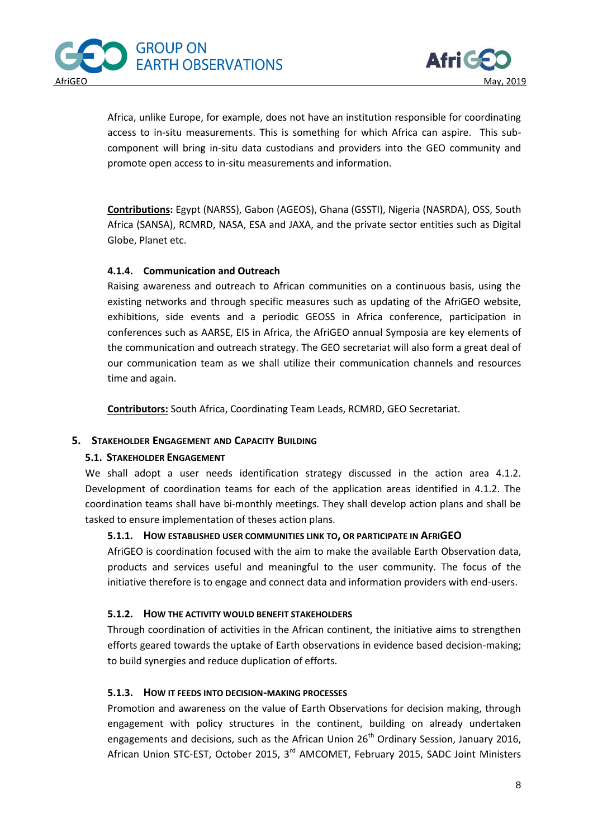



Africa, unlike Europe, for example, does not have an institution responsible for coordinating access to in-situ measurements. This is something for which Africa can aspire. This subcomponent will bring in-situ data custodians and providers into the GEO community and promote open access to in-situ measurements and information.

**Contributions:** Egypt (NARSS), Gabon (AGEOS), Ghana (GSSTI), Nigeria (NASRDA), OSS, South Africa (SANSA), RCMRD, NASA, ESA and JAXA, and the private sector entities such as Digital Globe, Planet etc.

## **4.1.4. Communication and Outreach**

Raising awareness and outreach to African communities on a continuous basis, using the existing networks and through specific measures such as updating of the AfriGEO website, exhibitions, side events and a periodic GEOSS in Africa conference, participation in conferences such as AARSE, EIS in Africa, the AfriGEO annual Symposia are key elements of the communication and outreach strategy. The GEO secretariat will also form a great deal of our communication team as we shall utilize their communication channels and resources time and again.

**Contributors:** South Africa, Coordinating Team Leads, RCMRD, GEO Secretariat.

## **5. STAKEHOLDER ENGAGEMENT AND CAPACITY BUILDING**

## **5.1. STAKEHOLDER ENGAGEMENT**

We shall adopt a user needs identification strategy discussed in the action area 4.1.2. Development of coordination teams for each of the application areas identified in 4.1.2. The coordination teams shall have bi-monthly meetings. They shall develop action plans and shall be tasked to ensure implementation of theses action plans.

#### **5.1.1. HOW ESTABLISHED USER COMMUNITIES LINK TO, OR PARTICIPATE IN AFRIGEO**

AfriGEO is coordination focused with the aim to make the available Earth Observation data, products and services useful and meaningful to the user community. The focus of the initiative therefore is to engage and connect data and information providers with end-users.

## **5.1.2. HOW THE ACTIVITY WOULD BENEFIT STAKEHOLDERS**

Through coordination of activities in the African continent, the initiative aims to strengthen efforts geared towards the uptake of Earth observations in evidence based decision-making; to build synergies and reduce duplication of efforts.

## **5.1.3. HOW IT FEEDS INTO DECISION-MAKING PROCESSES**

Promotion and awareness on the value of Earth Observations for decision making, through engagement with policy structures in the continent, building on already undertaken engagements and decisions, such as the African Union  $26<sup>th</sup>$  Ordinary Session, January 2016, African Union STC-EST, October 2015, 3<sup>rd</sup> AMCOMET, February 2015, SADC Joint Ministers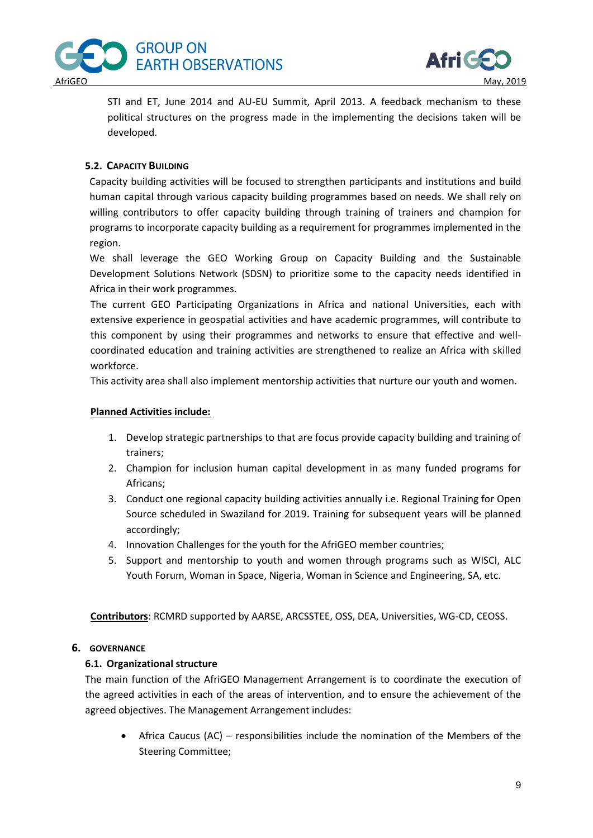



STI and ET, June 2014 and AU-EU Summit, April 2013. A feedback mechanism to these political structures on the progress made in the implementing the decisions taken will be developed.

## **5.2. CAPACITY BUILDING**

Capacity building activities will be focused to strengthen participants and institutions and build human capital through various capacity building programmes based on needs. We shall rely on willing contributors to offer capacity building through training of trainers and champion for programs to incorporate capacity building as a requirement for programmes implemented in the region.

We shall leverage the GEO Working Group on Capacity Building and the Sustainable Development Solutions Network (SDSN) to prioritize some to the capacity needs identified in Africa in their work programmes.

The current GEO Participating Organizations in Africa and national Universities, each with extensive experience in geospatial activities and have academic programmes, will contribute to this component by using their programmes and networks to ensure that effective and wellcoordinated education and training activities are strengthened to realize an Africa with skilled workforce.

This activity area shall also implement mentorship activities that nurture our youth and women.

## **Planned Activities include:**

- 1. Develop strategic partnerships to that are focus provide capacity building and training of trainers;
- 2. Champion for inclusion human capital development in as many funded programs for Africans;
- 3. Conduct one regional capacity building activities annually i.e. Regional Training for Open Source scheduled in Swaziland for 2019. Training for subsequent years will be planned accordingly;
- 4. Innovation Challenges for the youth for the AfriGEO member countries;
- 5. Support and mentorship to youth and women through programs such as WISCI, ALC Youth Forum, Woman in Space, Nigeria, Woman in Science and Engineering, SA, etc.

**Contributors**: RCMRD supported by AARSE, ARCSSTEE, OSS, DEA, Universities, WG-CD, CEOSS.

## **6. GOVERNANCE**

## **6.1. Organizational structure**

The main function of the AfriGEO Management Arrangement is to coordinate the execution of the agreed activities in each of the areas of intervention, and to ensure the achievement of the agreed objectives. The Management Arrangement includes:

 Africa Caucus (AC) – responsibilities include the nomination of the Members of the Steering Committee;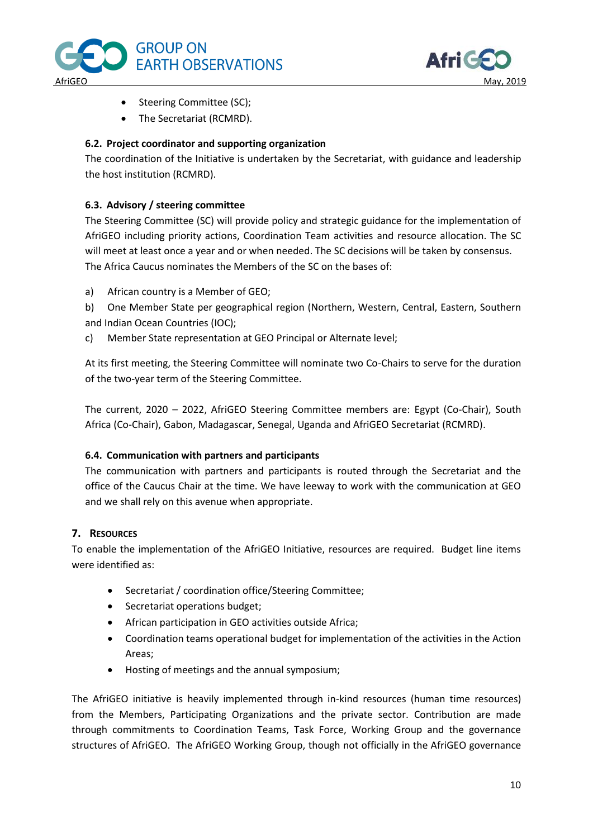



- Steering Committee (SC);
- The Secretariat (RCMRD).

## **6.2. Project coordinator and supporting organization**

The coordination of the Initiative is undertaken by the Secretariat, with guidance and leadership the host institution (RCMRD).

## **6.3. Advisory / steering committee**

The Steering Committee (SC) will provide policy and strategic guidance for the implementation of AfriGEO including priority actions, Coordination Team activities and resource allocation. The SC will meet at least once a year and or when needed. The SC decisions will be taken by consensus. The Africa Caucus nominates the Members of the SC on the bases of:

a) African country is a Member of GEO;

b) One Member State per geographical region (Northern, Western, Central, Eastern, Southern and Indian Ocean Countries (IOC);

c) Member State representation at GEO Principal or Alternate level;

At its first meeting, the Steering Committee will nominate two Co-Chairs to serve for the duration of the two-year term of the Steering Committee.

The current, 2020 – 2022, AfriGEO Steering Committee members are: Egypt (Co-Chair), South Africa (Co-Chair), Gabon, Madagascar, Senegal, Uganda and AfriGEO Secretariat (RCMRD).

#### **6.4. Communication with partners and participants**

The communication with partners and participants is routed through the Secretariat and the office of the Caucus Chair at the time. We have leeway to work with the communication at GEO and we shall rely on this avenue when appropriate.

## **7. RESOURCES**

To enable the implementation of the AfriGEO Initiative, resources are required. Budget line items were identified as:

- Secretariat / coordination office/Steering Committee;
- Secretariat operations budget;
- African participation in GEO activities outside Africa;
- Coordination teams operational budget for implementation of the activities in the Action Areas;
- Hosting of meetings and the annual symposium;

The AfriGEO initiative is heavily implemented through in-kind resources (human time resources) from the Members, Participating Organizations and the private sector. Contribution are made through commitments to Coordination Teams, Task Force, Working Group and the governance structures of AfriGEO. The AfriGEO Working Group, though not officially in the AfriGEO governance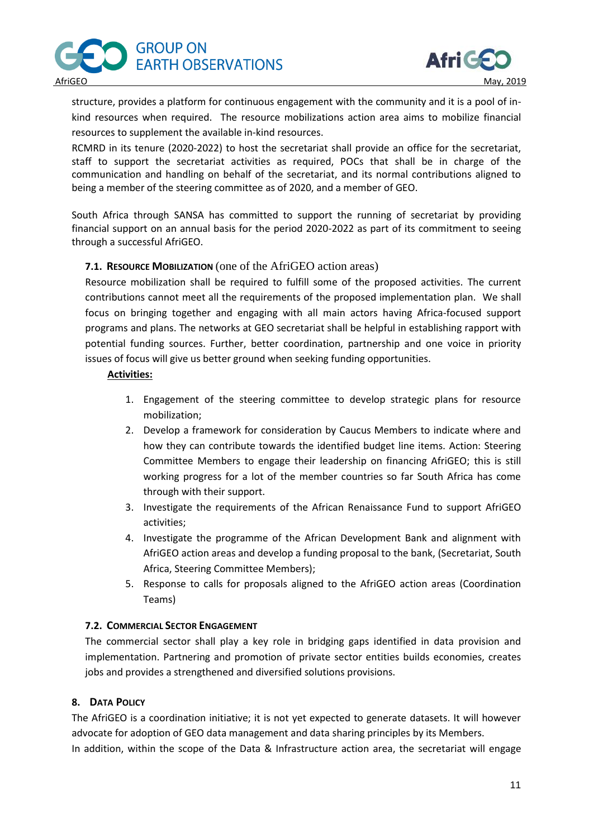



structure, provides a platform for continuous engagement with the community and it is a pool of inkind resources when required. The resource mobilizations action area aims to mobilize financial resources to supplement the available in-kind resources.

RCMRD in its tenure (2020-2022) to host the secretariat shall provide an office for the secretariat, staff to support the secretariat activities as required, POCs that shall be in charge of the communication and handling on behalf of the secretariat, and its normal contributions aligned to being a member of the steering committee as of 2020, and a member of GEO.

South Africa through SANSA has committed to support the running of secretariat by providing financial support on an annual basis for the period 2020-2022 as part of its commitment to seeing through a successful AfriGEO.

## **7.1. RESOURCE MOBILIZATION** (one of the AfriGEO action areas)

Resource mobilization shall be required to fulfill some of the proposed activities. The current contributions cannot meet all the requirements of the proposed implementation plan. We shall focus on bringing together and engaging with all main actors having Africa-focused support programs and plans. The networks at GEO secretariat shall be helpful in establishing rapport with potential funding sources. Further, better coordination, partnership and one voice in priority issues of focus will give us better ground when seeking funding opportunities.

## **Activities:**

- 1. Engagement of the steering committee to develop strategic plans for resource mobilization;
- 2. Develop a framework for consideration by Caucus Members to indicate where and how they can contribute towards the identified budget line items. Action: Steering Committee Members to engage their leadership on financing AfriGEO; this is still working progress for a lot of the member countries so far South Africa has come through with their support.
- 3. Investigate the requirements of the African Renaissance Fund to support AfriGEO activities;
- 4. Investigate the programme of the African Development Bank and alignment with AfriGEO action areas and develop a funding proposal to the bank, (Secretariat, South Africa, Steering Committee Members);
- 5. Response to calls for proposals aligned to the AfriGEO action areas (Coordination Teams)

#### **7.2. COMMERCIAL SECTOR ENGAGEMENT**

The commercial sector shall play a key role in bridging gaps identified in data provision and implementation. Partnering and promotion of private sector entities builds economies, creates jobs and provides a strengthened and diversified solutions provisions.

## **8. DATA POLICY**

The AfriGEO is a coordination initiative; it is not yet expected to generate datasets. It will however advocate for adoption of GEO data management and data sharing principles by its Members.

In addition, within the scope of the Data & Infrastructure action area, the secretariat will engage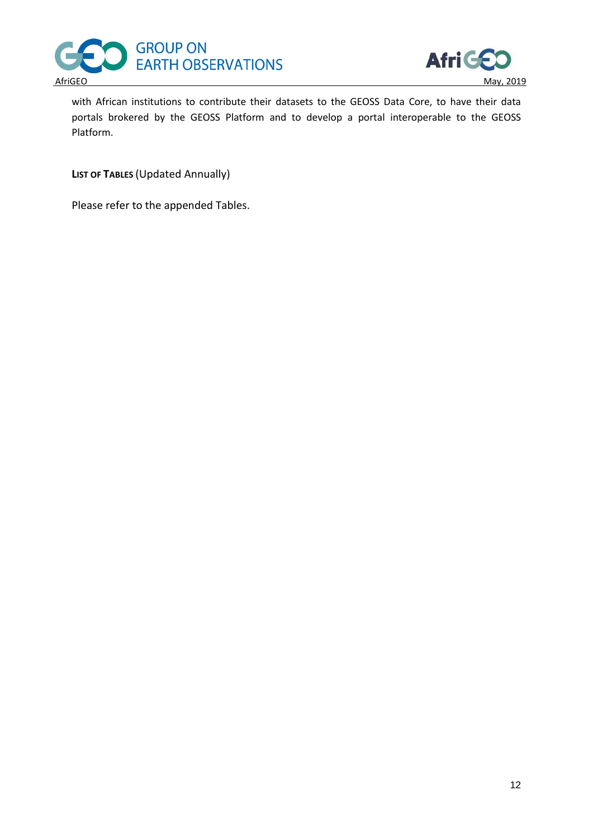



with African institutions to contribute their datasets to the GEOSS Data Core, to have their data portals brokered by the GEOSS Platform and to develop a portal interoperable to the GEOSS Platform.

**LIST OF TABLES** (Updated Annually)

Please refer to the appended Tables.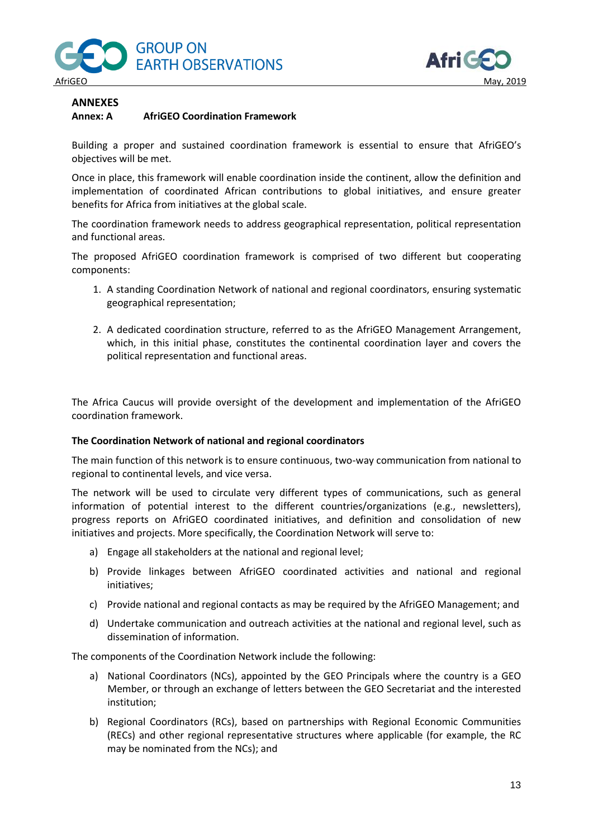



# **ANNEXES**

## **Annex: A AfriGEO Coordination Framework**

Building a proper and sustained coordination framework is essential to ensure that AfriGEO's objectives will be met.

Once in place, this framework will enable coordination inside the continent, allow the definition and implementation of coordinated African contributions to global initiatives, and ensure greater benefits for Africa from initiatives at the global scale.

The coordination framework needs to address geographical representation, political representation and functional areas.

The proposed AfriGEO coordination framework is comprised of two different but cooperating components:

- 1. A standing Coordination Network of national and regional coordinators, ensuring systematic geographical representation;
- 2. A dedicated coordination structure, referred to as the AfriGEO Management Arrangement, which, in this initial phase, constitutes the continental coordination layer and covers the political representation and functional areas.

The Africa Caucus will provide oversight of the development and implementation of the AfriGEO coordination framework.

#### **The Coordination Network of national and regional coordinators**

The main function of this network is to ensure continuous, two-way communication from national to regional to continental levels, and vice versa.

The network will be used to circulate very different types of communications, such as general information of potential interest to the different countries/organizations (e.g., newsletters), progress reports on AfriGEO coordinated initiatives, and definition and consolidation of new initiatives and projects. More specifically, the Coordination Network will serve to:

- a) Engage all stakeholders at the national and regional level;
- b) Provide linkages between AfriGEO coordinated activities and national and regional initiatives;
- c) Provide national and regional contacts as may be required by the AfriGEO Management; and
- d) Undertake communication and outreach activities at the national and regional level, such as dissemination of information.

The components of the Coordination Network include the following:

- a) National Coordinators (NCs), appointed by the GEO Principals where the country is a GEO Member, or through an exchange of letters between the GEO Secretariat and the interested institution;
- b) Regional Coordinators (RCs), based on partnerships with Regional Economic Communities (RECs) and other regional representative structures where applicable (for example, the RC may be nominated from the NCs); and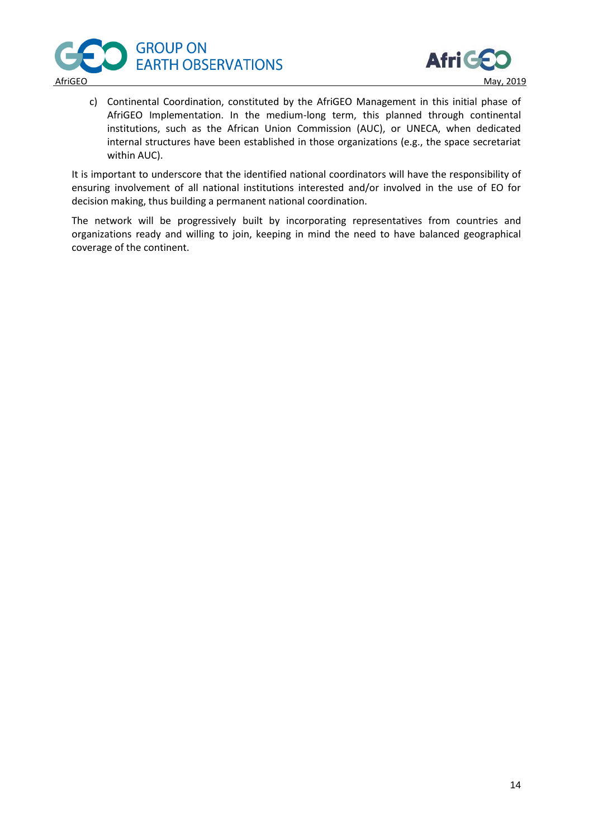



c) Continental Coordination, constituted by the AfriGEO Management in this initial phase of AfriGEO Implementation. In the medium-long term, this planned through continental institutions, such as the African Union Commission (AUC), or UNECA, when dedicated internal structures have been established in those organizations (e.g., the space secretariat within AUC).

It is important to underscore that the identified national coordinators will have the responsibility of ensuring involvement of all national institutions interested and/or involved in the use of EO for decision making, thus building a permanent national coordination.

The network will be progressively built by incorporating representatives from countries and organizations ready and willing to join, keeping in mind the need to have balanced geographical coverage of the continent.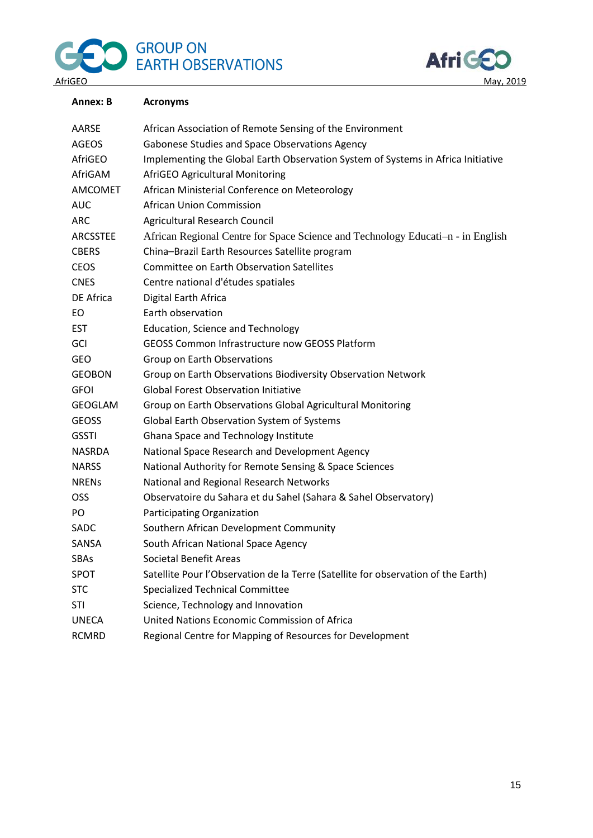# GROUP ON EARTH OBSERVATIONS G



| Annex: B       | <b>Acronyms</b>                                                                   |
|----------------|-----------------------------------------------------------------------------------|
| AARSE          | African Association of Remote Sensing of the Environment                          |
| <b>AGEOS</b>   | Gabonese Studies and Space Observations Agency                                    |
| AfriGEO        | Implementing the Global Earth Observation System of Systems in Africa Initiative  |
| AfriGAM        | AfriGEO Agricultural Monitoring                                                   |
| <b>AMCOMET</b> | African Ministerial Conference on Meteorology                                     |
| <b>AUC</b>     | <b>African Union Commission</b>                                                   |
| <b>ARC</b>     | Agricultural Research Council                                                     |
| ARCSSTEE       | African Regional Centre for Space Science and Technology Educati-n - in English   |
| <b>CBERS</b>   | China-Brazil Earth Resources Satellite program                                    |
| <b>CEOS</b>    | <b>Committee on Earth Observation Satellites</b>                                  |
| <b>CNES</b>    | Centre national d'études spatiales                                                |
| DE Africa      | Digital Earth Africa                                                              |
| EO             | Earth observation                                                                 |
| <b>EST</b>     | <b>Education, Science and Technology</b>                                          |
| GCI            | <b>GEOSS Common Infrastructure now GEOSS Platform</b>                             |
| <b>GEO</b>     | Group on Earth Observations                                                       |
| <b>GEOBON</b>  | Group on Earth Observations Biodiversity Observation Network                      |
| <b>GFOI</b>    | <b>Global Forest Observation Initiative</b>                                       |
| <b>GEOGLAM</b> | Group on Earth Observations Global Agricultural Monitoring                        |
| <b>GEOSS</b>   | Global Earth Observation System of Systems                                        |
| <b>GSSTI</b>   | Ghana Space and Technology Institute                                              |
| <b>NASRDA</b>  | National Space Research and Development Agency                                    |
| <b>NARSS</b>   | National Authority for Remote Sensing & Space Sciences                            |
| <b>NRENS</b>   | National and Regional Research Networks                                           |
| <b>OSS</b>     | Observatoire du Sahara et du Sahel (Sahara & Sahel Observatory)                   |
| PO             | Participating Organization                                                        |
| SADC           | Southern African Development Community                                            |
| SANSA          | South African National Space Agency                                               |
| SBAs           | <b>Societal Benefit Areas</b>                                                     |
| <b>SPOT</b>    | Satellite Pour l'Observation de la Terre (Satellite for observation of the Earth) |
| <b>STC</b>     | <b>Specialized Technical Committee</b>                                            |
| <b>STI</b>     | Science, Technology and Innovation                                                |
| <b>UNECA</b>   | United Nations Economic Commission of Africa                                      |
| <b>RCMRD</b>   | Regional Centre for Mapping of Resources for Development                          |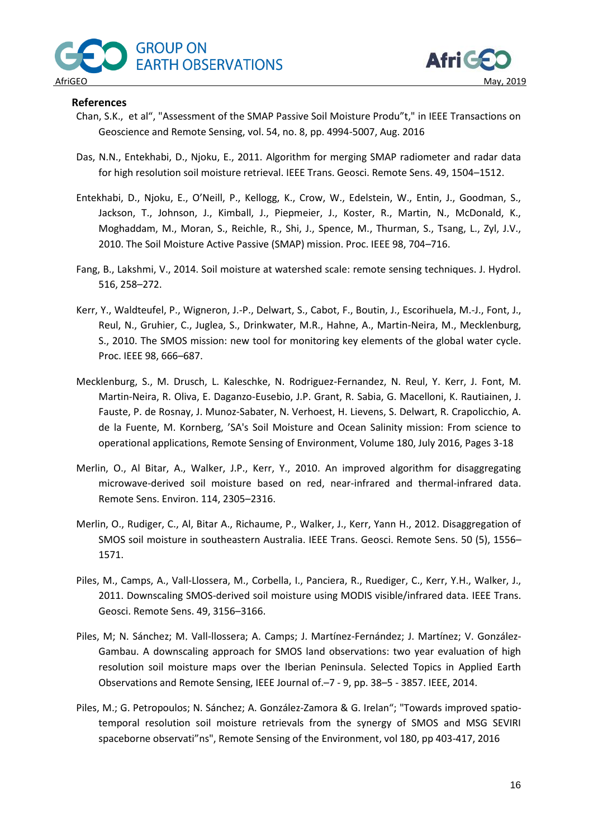



### **References**

- Chan, S.K., et al", "Assessment of the SMAP Passive Soil Moisture Produ"t," in IEEE Transactions on Geoscience and Remote Sensing, vol. 54, no. 8, pp. 4994-5007, Aug. 2016
- Das, N.N., Entekhabi, D., Njoku, E., 2011. Algorithm for merging SMAP radiometer and radar data for high resolution soil moisture retrieval. IEEE Trans. Geosci. Remote Sens. 49, 1504–1512.
- Entekhabi, D., Njoku, E., O'Neill, P., Kellogg, K., Crow, W., Edelstein, W., Entin, J., Goodman, S., Jackson, T., Johnson, J., Kimball, J., Piepmeier, J., Koster, R., Martin, N., McDonald, K., Moghaddam, M., Moran, S., Reichle, R., Shi, J., Spence, M., Thurman, S., Tsang, L., Zyl, J.V., 2010. The Soil Moisture Active Passive (SMAP) mission. Proc. IEEE 98, 704–716.
- Fang, B., Lakshmi, V., 2014. Soil moisture at watershed scale: remote sensing techniques. J. Hydrol. 516, 258–272.
- Kerr, Y., Waldteufel, P., Wigneron, J.-P., Delwart, S., Cabot, F., Boutin, J., Escorihuela, M.-J., Font, J., Reul, N., Gruhier, C., Juglea, S., Drinkwater, M.R., Hahne, A., Martin-Neira, M., Mecklenburg, S., 2010. The SMOS mission: new tool for monitoring key elements of the global water cycle. Proc. IEEE 98, 666–687.
- Mecklenburg, S., M. Drusch, L. Kaleschke, N. Rodriguez-Fernandez, N. Reul, Y. Kerr, J. Font, M. Martin-Neira, R. Oliva, E. Daganzo-Eusebio, J.P. Grant, R. Sabia, G. Macelloni, K. Rautiainen, J. Fauste, P. de Rosnay, J. Munoz-Sabater, N. Verhoest, H. Lievens, S. Delwart, R. Crapolicchio, A. de la Fuente, M. Kornberg, 'SA's Soil Moisture and Ocean Salinity mission: From science to operational applications, Remote Sensing of Environment, Volume 180, July 2016, Pages 3-18
- Merlin, O., Al Bitar, A., Walker, J.P., Kerr, Y., 2010. An improved algorithm for disaggregating microwave-derived soil moisture based on red, near-infrared and thermal-infrared data. Remote Sens. Environ. 114, 2305–2316.
- Merlin, O., Rudiger, C., Al, Bitar A., Richaume, P., Walker, J., Kerr, Yann H., 2012. Disaggregation of SMOS soil moisture in southeastern Australia. IEEE Trans. Geosci. Remote Sens. 50 (5), 1556– 1571.
- Piles, M., Camps, A., Vall-Llossera, M., Corbella, I., Panciera, R., Ruediger, C., Kerr, Y.H., Walker, J., 2011. Downscaling SMOS-derived soil moisture using MODIS visible/infrared data. IEEE Trans. Geosci. Remote Sens. 49, 3156–3166.
- Piles, M; N. Sánchez; M. Vall-llossera; A. Camps; J. Martínez-Fernández; J. Martínez; V. González-Gambau. A downscaling approach for SMOS land observations: two year evaluation of high resolution soil moisture maps over the Iberian Peninsula. Selected Topics in Applied Earth Observations and Remote Sensing, IEEE Journal of.–7 - 9, pp. 38–5 - 3857. IEEE, 2014.
- Piles, M.; G. Petropoulos; N. Sánchez; A. González-Zamora & G. Irelan"; "Towards improved spatiotemporal resolution soil moisture retrievals from the synergy of SMOS and MSG SEVIRI spaceborne observati"ns", Remote Sensing of the Environment, vol 180, pp 403-417, 2016